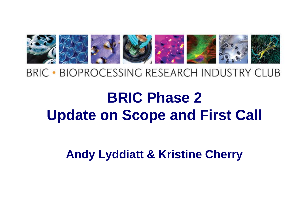

#### **BRIC • BIOPROCESSING RESEARCH INDUSTRY CLUB**

## **BRIC Phase 2 Update on Scope and First Call**

**Andy Lyddiatt & Kristine Cherry Lyddiatt**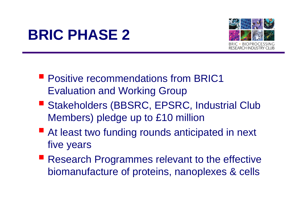### **BRIC PHASE 2 2**



- **Positive recommendations from BRIC1** Evaluation and Working Group
- Stakeholders (BBSRC, EPSRC, Industrial Club Members) pledge up to £10 million
- **E** At least two funding rounds anticipated in next five years
- **Research Programmes relevant to the effective** biomanufacture of proteins, nanoplexes & cells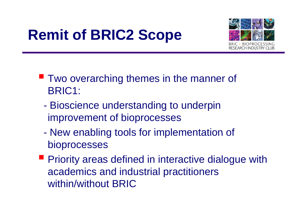# **Remit of BRIC2 Scope**



- **Two overarching themes in the manner of** BRIC1:
	- $\mathcal{L}_{\mathcal{A}}$  Bioscience understanding to underpin improvement of bioprocesses
	- New enabling tools for implementation of bioprocesses
- **Priority areas defined in interactive dialogue with** academics and industrial practitioners within/without BRIC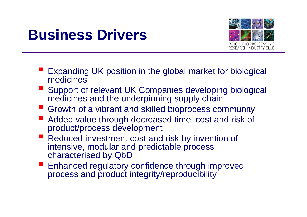#### **Business Drivers**



- e<br>M Expanding UK position in the global market for biological medicines
- Support of relevant UK Companies developing biological medicines and the underpinning supply chain
- Growth of a vibrant and skilled bioprocess community
- an<br>M Added value through decreased time, cost and risk of product/process development
- Reduced investment cost and risk by invention of intensive, modular and predictable process characterised by QbD
- an<br>M Enhanced regulatory confidence through improved process and product integrity/reproducibility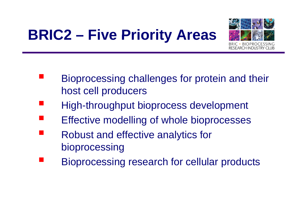# **BRIC2 – Five Priority Areas**



- Bioprocessing challenges for protein and their host cell producers
- High-throughput bioprocess development
- Effective modelling of whole bioprocesses
- Robust and effective analytics for bioprocessing
- Bioprocessing research for cellular products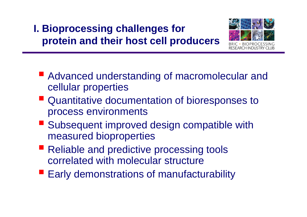### **I. Bioprocessing challenges for protein and their host cell producers**



- **Advanced understanding of macromolecular and** cellular properties
- **Quantitative documentation of bioresponses to** process environments
- Subsequent improved design compatible with measured bioproperties
- Reliable and predictive processing tools correlated with molecular structure
- **Early demonstrations of manufacturability**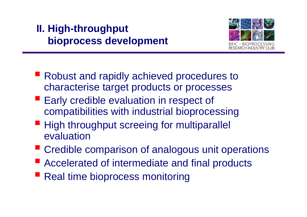#### **II. High-throughput bioprocess development**



- **Robust and rapidly achieved procedures to** characterise target products or processes
- **Early credible evaluation in respect of** compatibilities with industrial bioprocessing
- **High throughput screeing for multiparallel** evaluation
- **EXP** Credible comparison of analogous unit operations
- **E** Accelerated of intermediate and final products
- **Real time bioprocess monitoring**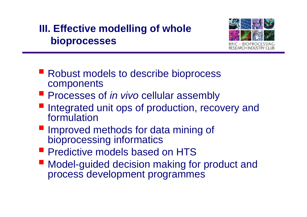#### **III. Effective modelling of whole bioprocesses**



- **Robust models to describe bioprocess** components
- **Processes of** *in vivo* **cellular assembly**
- Integrated unit ops of production, recovery and formulation
- **Improved methods for data mining of** bioprocessing informatics
- **Predictive models based on HTS**
- Model-guided decision making for product and process development programmes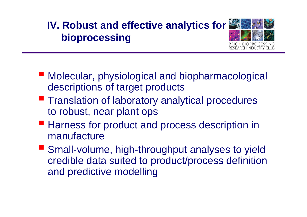### **IV. Robust and effective analytics for bi i oprocessing**

- Molecular, physiological and biopharmacological descriptions of target products
- **Translation of laboratory analytical procedures** to robust, near plant ops
- **Harness for product and process description in** manufacture
- Small-volume, high-throughput analyses to yield credible data suited to product/process definition and predictive modelling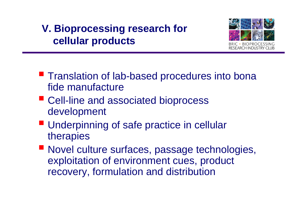#### **V. Bioprocessing research for cellular products**



- **Translation of lab-based procedures into bona** fide manufacture
- Cell-line and associated bioprocess development
- **Underpinning of safe practice in cellular** therapies
- Novel culture surfaces, passage technologies, exploitation of environment cues, product recovery, formulation and distribution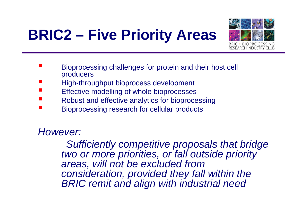## **BRIC2 – Five Priority Areas**



- **Service Service**  Bioprocessing challenges for protein and their host cell producers
- T. High-throughput bioprocess development
- T. Effective modelling of whole bioprocesses
- T. Robust and effective analytics for bioprocessing
- T. Bioprocessing research for cellular products

*However:*

*Sufficiently competitive proposals that bridge two or more priorities, or fall outside priority areas, will not be excluded from consideration, provided they fall within the BRIC remit and align with industrial need*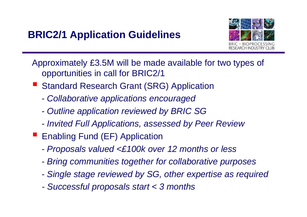#### **BRIC2/1 Application Guidelines**



Approximately £3.5M will be made available for two types of opportunities in call for BRIC2/1

- a<br>M ■ Standard Research Grant (SRG) Application
	- *- Collaborative applications encouraged*
	- *- O tli li ti i d b BRIC SG utline application reviewe by*
	- *- Invited Full Applications, assessed by Peer Review*
- **Enabling Fund (EF) Application** 
	- *- Proposals valued <£100k over 12 months or less*
	- *-Bring communities together for collaborative purposes*
	- *- Single stage reviewed by SG, other expertise as required*
	- *-Successful proposals start < 3 months*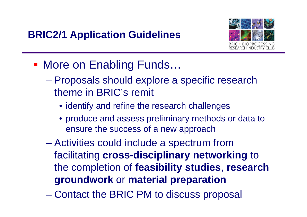

- More on Enabling Funds...
	- Proposals should explore a specific research theme in BRIC's remit
		- identify and refine the research challenges
		- produce and assess preliminary methods or data to ensure the success of a new approach
	- **Hart Committee**  Activities could include a spectrum from facilitating **cross -disciplinary networking disciplinary** to the completion of **feasibility studies**, **research groundwork** or **material preparation preparation**
	- **Hart Committee** Contact the BRIC PM to discuss proposal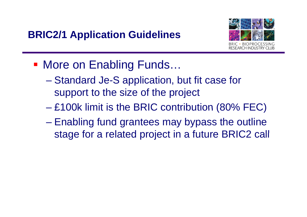

- More on Enabling Funds...
	- **However the Company** – Standard Je-S application, but fit case for support to the size of the project
	- **However the Company**  $-$  £100k limit is the BRIC contribution (80% FEC)  $\,$
	- **Hart Committee**  Enabling fund grantees may bypass the outline stage for <sup>a</sup> related project in <sup>a</sup> future BRIC2 call a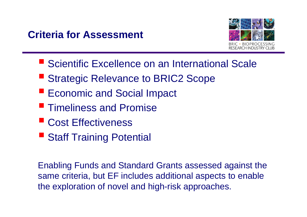#### **Criteria for Assessment**



- Scientific Excellence on an International Scale
- **E** Strategic Relevance to BRIC2 Scope
- **Economic and Social Impact**
- **Timeliness and Promise**
- Cost Effectiveness
- **Staff Training Potential**

Enabling Funds and Standard Grants assessed against the same criteria, but EF includes additional aspects to enable the exploration of novel and high-risk approaches.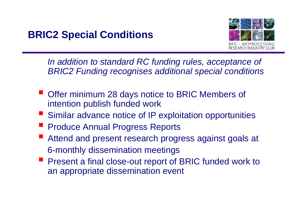

In addition to standard RC funding rules, acceptance of *BRIC2 Funding recognises additional special conditions*

- er<br>1 Offer minimum 28 days notice to BRIC Members of intention publish funded work
- Similar advance notice of IP exploitation opportunities
- er<br>1 Produce Annual Progress Reports
- an<br>M Attend and present research progress against goals at 6-monthly dissemination meetings
- **Present a final close-out report of BRIC funded work to** an appropriate dissemination event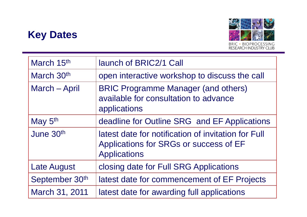#### **Key Dates**



| March 15th          | launch of BRIC2/1 Call                                                                                               |
|---------------------|----------------------------------------------------------------------------------------------------------------------|
| March 30th          | open interactive workshop to discuss the call                                                                        |
| March - April       | <b>BRIC Programme Manager (and others)</b><br>available for consultation to advance<br>applications                  |
| May 5 <sup>th</sup> | deadline for Outline SRG and EF Applications                                                                         |
| June 30th           | latest date for notification of invitation for Full<br>Applications for SRGs or success of EF<br><b>Applications</b> |
| <b>Late August</b>  | closing date for Full SRG Applications                                                                               |
| September 30th      | latest date for commencement of EF Projects                                                                          |
| March 31, 2011      | latest date for awarding full applications                                                                           |